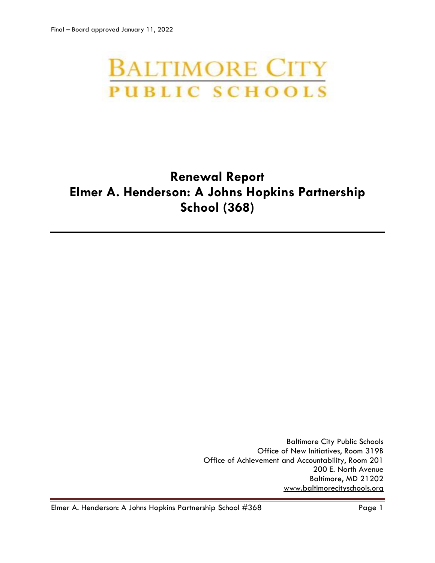# **BALTIMORE CITY PUBLIC SCHOOLS**

# **Renewal Report Elmer A. Henderson: A Johns Hopkins Partnership School (368)**

Baltimore City Public Schools Office of New Initiatives, Room 319B Office of Achievement and Accountability, Room 201 200 E. North Avenue Baltimore, MD 21202 [www.baltimorecityschools.org](http://www.baltimorecityschools.org/)

Elmer A. Henderson: A Johns Hopkins Partnership School #368 Page 1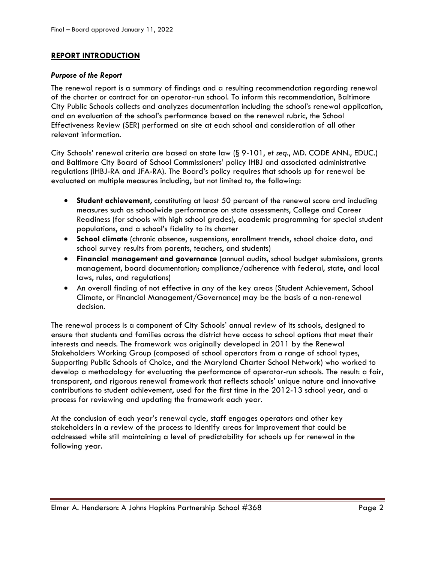# **REPORT INTRODUCTION**

### *Purpose of the Report*

The renewal report is a summary of findings and a resulting recommendation regarding renewal of the charter or contract for an operator-run school. To inform this recommendation, Baltimore City Public Schools collects and analyzes documentation including the school's renewal application, and an evaluation of the school's performance based on the renewal rubric, the School Effectiveness Review (SER) performed on site at each school and consideration of all other relevant information.

City Schools' renewal criteria are based on state law (§ 9-101, *et seq*., MD. CODE ANN., EDUC.) and Baltimore City Board of School Commissioners' policy IHBJ and associated administrative regulations (IHBJ-RA and JFA-RA). The Board's policy requires that schools up for renewal be evaluated on multiple measures including, but not limited to, the following:

- **Student achievement**, constituting at least 50 percent of the renewal score and including measures such as schoolwide performance on state assessments, College and Career Readiness (for schools with high school grades), academic programming for special student populations, and a school's fidelity to its charter
- **School climate** (chronic absence, suspensions, enrollment trends, school choice data, and school survey results from parents, teachers, and students)
- **Financial management and governance** (annual audits, school budget submissions, grants management, board documentation; compliance/adherence with federal, state, and local laws, rules, and regulations)
- An overall finding of not effective in any of the key areas (Student Achievement, School Climate, or Financial Management/Governance) may be the basis of a non-renewal decision.

The renewal process is a component of City Schools' annual review of its schools, designed to ensure that students and families across the district have access to school options that meet their interests and needs. The framework was originally developed in 2011 by the Renewal Stakeholders Working Group (composed of school operators from a range of school types, Supporting Public Schools of Choice, and the Maryland Charter School Network) who worked to develop a methodology for evaluating the performance of operator-run schools. The result: a fair, transparent, and rigorous renewal framework that reflects schools' unique nature and innovative contributions to student achievement, used for the first time in the 2012-13 school year, and a process for reviewing and updating the framework each year.

At the conclusion of each year's renewal cycle, staff engages operators and other key stakeholders in a review of the process to identify areas for improvement that could be addressed while still maintaining a level of predictability for schools up for renewal in the following year.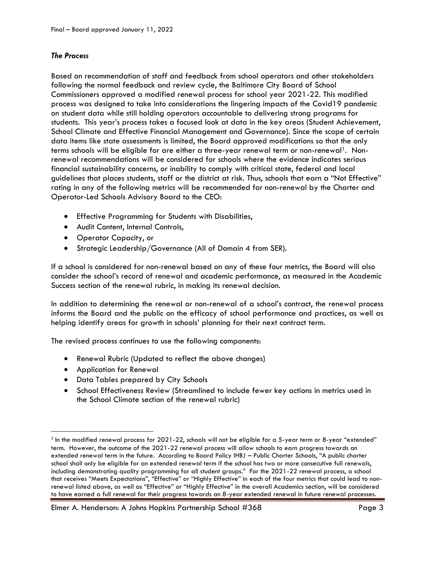# *The Process*

Based on recommendation of staff and feedback from school operators and other stakeholders following the normal feedback and review cycle, the Baltimore City Board of School Commissioners approved a modified renewal process for school year 2021-22. This modified process was designed to take into considerations the lingering impacts of the Covid19 pandemic on student data while still holding operators accountable to delivering strong programs for students. This year's process takes a focused look at data in the key areas (Student Achievement, School Climate and Effective Financial Management and Governance). Since the scope of certain data items like state assessments is limited, the Board approved modifications so that the only terms schools will be eligible for are either a three-year renewal term or non-renewal<sup>1</sup>. Nonrenewal recommendations will be considered for schools where the evidence indicates serious financial sustainability concerns, or inability to comply with critical state, federal and local guidelines that places students, staff or the district at risk. Thus, schools that earn a "Not Effective" rating in any of the following metrics will be recommended for non-renewal by the Charter and Operator-Led Schools Advisory Board to the CEO:

- Effective Programming for Students with Disabilities,
- Audit Content, Internal Controls,
- Operator Capacity, or
- Strategic Leadership/Governance (All of Domain 4 from SER).

If a school is considered for non-renewal based on any of these four metrics, the Board will also consider the school's record of renewal and academic performance, as measured in the Academic Success section of the renewal rubric, in making its renewal decision.

In addition to determining the renewal or non-renewal of a school's contract, the renewal process informs the Board and the public on the efficacy of school performance and practices, as well as helping identify areas for growth in schools' planning for their next contract term.

The revised process continues to use the following components:

- Renewal Rubric (Updated to reflect the above changes)
- Application for Renewal

l

- Data Tables prepared by City Schools
- School Effectiveness Review (Streamlined to include fewer key actions in metrics used in the School Climate section of the renewal rubric)

 $^{\rm 1}$  In the modified renewal process for 2021-22, schools will not be eligible for a 5-year term or 8-year "extended" term. However, the outcome of the 2021-22 renewal process will allow schools to earn progress towards an extended renewal term in the future. According to Board Policy IHBJ – Public Charter Schools, "A public charter school shall only be eligible for an extended renewal term if the school has two or more consecutive full renewals, including demonstrating quality programming for all student groups." For the 2021-22 renewal process, a school that receives "Meets Expectations", "Effective" or "Highly Effective" in each of the four metrics that could lead to nonrenewal listed above, as well as "Effective" or "Highly Effective" in the overall Academics section, will be considered to have earned a full renewal for their progress towards an 8-year extended renewal in future renewal processes.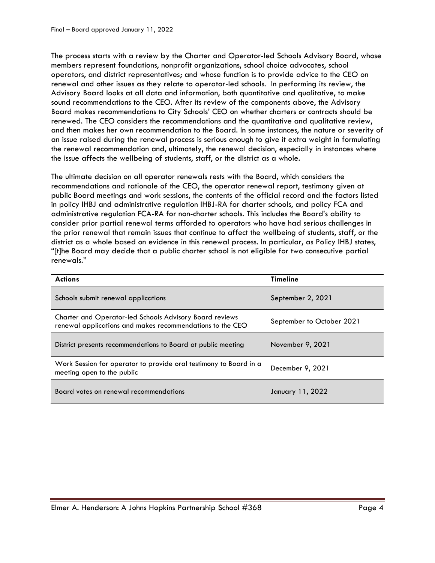The process starts with a review by the Charter and Operator-led Schools Advisory Board, whose members represent foundations, nonprofit organizations, school choice advocates, school operators, and district representatives; and whose function is to provide advice to the CEO on renewal and other issues as they relate to operator-led schools. In performing its review, the Advisory Board looks at all data and information, both quantitative and qualitative, to make sound recommendations to the CEO. After its review of the components above, the Advisory Board makes recommendations to City Schools' CEO on whether charters or contracts should be renewed. The CEO considers the recommendations and the quantitative and qualitative review, and then makes her own recommendation to the Board. In some instances, the nature or severity of an issue raised during the renewal process is serious enough to give it extra weight in formulating the renewal recommendation and, ultimately, the renewal decision, especially in instances where the issue affects the wellbeing of students, staff, or the district as a whole.

The ultimate decision on all operator renewals rests with the Board, which considers the recommendations and rationale of the CEO, the operator renewal report, testimony given at public Board meetings and work sessions, the contents of the official record and the factors listed in policy IHBJ and administrative regulation IHBJ-RA for charter schools, and policy FCA and administrative regulation FCA-RA for non-charter schools. This includes the Board's ability to consider prior partial renewal terms afforded to operators who have had serious challenges in the prior renewal that remain issues that continue to affect the wellbeing of students, staff, or the district as a whole based on evidence in this renewal process. In particular, as Policy IHBJ states, "[t]he Board may decide that a public charter school is not eligible for two consecutive partial renewals."

| <b>Actions</b>                                                                                                       | <b>Timeline</b>           |
|----------------------------------------------------------------------------------------------------------------------|---------------------------|
| Schools submit renewal applications                                                                                  | September 2, 2021         |
| Charter and Operator-led Schools Advisory Board reviews<br>renewal applications and makes recommendations to the CEO | September to October 2021 |
| District presents recommendations to Board at public meeting                                                         | November 9, 2021          |
| Work Session for operator to provide oral testimony to Board in a<br>meeting open to the public                      | December 9, 2021          |
| Board votes on renewal recommendations                                                                               | January 11, 2022          |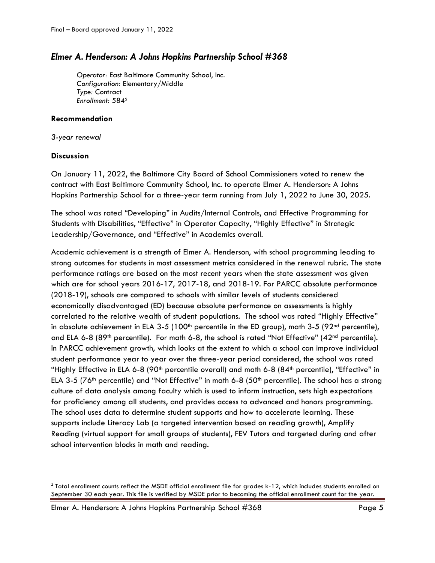# *Elmer A. Henderson: A Johns Hopkins Partnership School #368*

*Operator:* East Baltimore Community School, Inc. *Configuration:* Elementary/Middle *Type:* Contract *Enrollment:* 584<sup>2</sup>

# **Recommendation**

*3-year renewal*

# **Discussion**

 $\overline{\phantom{a}}$ 

On January 11, 2022, the Baltimore City Board of School Commissioners voted to renew the contract with East Baltimore Community School, Inc. to operate Elmer A. Henderson: A Johns Hopkins Partnership School for a three-year term running from July 1, 2022 to June 30, 2025.

The school was rated "Developing" in Audits/Internal Controls, and Effective Programming for Students with Disabilities, "Effective" in Operator Capacity, "Highly Effective" in Strategic Leadership/Governance, and "Effective" in Academics overall.

Academic achievement is a strength of Elmer A. Henderson, with school programming leading to strong outcomes for students in most assessment metrics considered in the renewal rubric. The state performance ratings are based on the most recent years when the state assessment was given which are for school years 2016-17, 2017-18, and 2018-19. For PARCC absolute performance (2018-19), schools are compared to schools with similar levels of students considered economically disadvantaged (ED) because absolute performance on assessments is highly correlated to the relative wealth of student populations. The school was rated "Highly Effective" in absolute achievement in ELA 3-5 (100<sup>th</sup> percentile in the ED group), math 3-5 (92<sup>nd</sup> percentile), and ELA 6-8 (89<sup>th</sup> percentile). For math 6-8, the school is rated "Not Effective" (42<sup>nd</sup> percentile). In PARCC achievement growth, which looks at the extent to which a school can improve individual student performance year to year over the three-year period considered, the school was rated "Highly Effective in ELA 6-8 (90<sup>th</sup> percentile overall) and math 6-8 (84<sup>th</sup> percentile), "Effective" in ELA 3-5 ( $76<sup>th</sup>$  percentile) and "Not Effective" in math 6-8 ( $50<sup>th</sup>$  percentile). The school has a strong culture of data analysis among faculty which is used to inform instruction, sets high expectations for proficiency among all students, and provides access to advanced and honors programming. The school uses data to determine student supports and how to accelerate learning. These supports include Literacy Lab (a targeted intervention based on reading growth), Amplify Reading (virtual support for small groups of students), FEV Tutors and targeted during and after school intervention blocks in math and reading.

 $^2$  Total enrollment counts reflect the MSDE official enrollment file for grades k-12, which includes students enrolled on September 30 each year. This file is verified by MSDE prior to becoming the official enrollment count for the year.

Elmer A. Henderson: A Johns Hopkins Partnership School #368 Page 5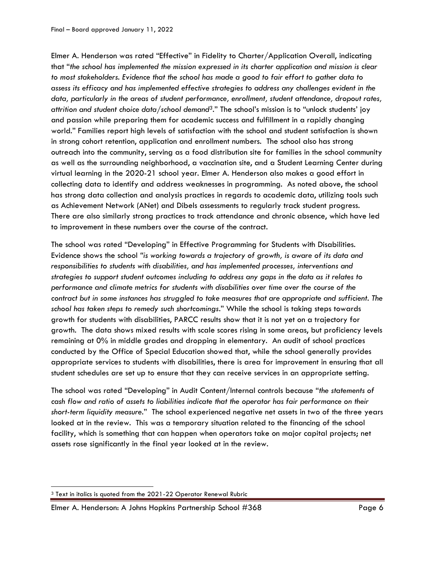Elmer A. Henderson was rated "Effective" in Fidelity to Charter/Application Overall, indicating that "*the school has implemented the mission expressed in its charter application and mission is clear to most stakeholders. Evidence that the school has made a good to fair effort to gather data to assess its efficacy and has implemented effective strategies to address any challenges evident in the data, particularly in the areas of student performance, enrollment, student attendance, dropout rates, attrition and student choice data/school demand3*." The school's mission is to "unlock students' joy and passion while preparing them for academic success and fulfillment in a rapidly changing world." Families report high levels of satisfaction with the school and student satisfaction is shown in strong cohort retention, application and enrollment numbers. The school also has strong outreach into the community, serving as a food distribution site for families in the school community as well as the surrounding neighborhood, a vaccination site, and a Student Learning Center during virtual learning in the 2020-21 school year. Elmer A. Henderson also makes a good effort in collecting data to identify and address weaknesses in programming. As noted above, the school has strong data collection and analysis practices in regards to academic data, utilizing tools such as Achievement Network (ANet) and Dibels assessments to regularly track student progress. There are also similarly strong practices to track attendance and chronic absence, which have led to improvement in these numbers over the course of the contract.

The school was rated "Developing" in Effective Programming for Students with Disabilities. Evidence shows the school *"is working towards a trajectory of growth, is aware of its data and responsibilities to students with disabilities, and has implemented processes, interventions and strategies to support student outcomes including to address any gaps in the data as it relates to performance and climate metrics for students with disabilities over time over the course of the contract but in some instances has struggled to take measures that are appropriate and sufficient. The school has taken steps to remedy such shortcomings*." While the school is taking steps towards growth for students with disabilities, PARCC results show that it is not yet on a trajectory for growth. The data shows mixed results with scale scores rising in some areas, but proficiency levels remaining at 0% in middle grades and dropping in elementary. An audit of school practices conducted by the Office of Special Education showed that, while the school generally provides appropriate services to students with disabilities, there is area for improvement in ensuring that all student schedules are set up to ensure that they can receive services in an appropriate setting.

The school was rated "Developing" in Audit Content/Internal controls because "*the statements of cash flow and ratio of assets to liabilities indicate that the operator has fair performance on their short-term liquidity measure.*" The school experienced negative net assets in two of the three years looked at in the review. This was a temporary situation related to the financing of the school facility, which is something that can happen when operators take on major capital projects; net assets rose significantly in the final year looked at in the review.

 $\overline{\phantom{a}}$ 

<sup>&</sup>lt;sup>3</sup> Text in italics is quoted from the 2021-22 Operator Renewal Rubric

Elmer A. Henderson: A Johns Hopkins Partnership School #368 Page 6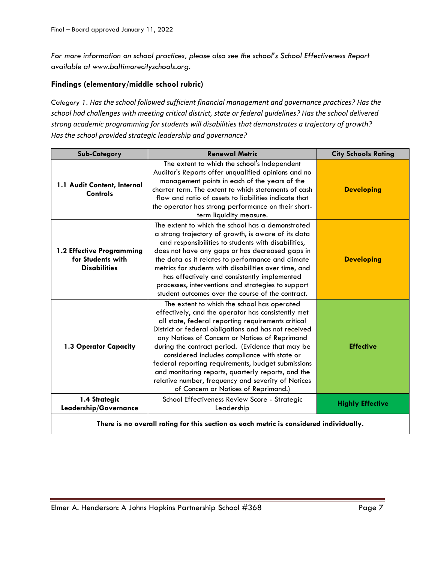*For more information on school practices, please also see the school's School Effectiveness Report available at www.baltimorecityschools.org.*

# **Findings (elementary/middle school rubric)**

*Category 1. Has the school followed sufficient financial management and governance practices? Has the school had challenges with meeting critical district, state or federal guidelines? Has the school delivered strong academic programming for students will disabilities that demonstrates a trajectory of growth? Has the school provided strategic leadership and governance?*

| <b>Sub-Category</b>                                                                    | <b>Renewal Metric</b>                                                                                                                                                                                                                                                                                                                                                                                                                                                                                                                                                            | <b>City Schools Rating</b> |
|----------------------------------------------------------------------------------------|----------------------------------------------------------------------------------------------------------------------------------------------------------------------------------------------------------------------------------------------------------------------------------------------------------------------------------------------------------------------------------------------------------------------------------------------------------------------------------------------------------------------------------------------------------------------------------|----------------------------|
| 1.1 Audit Content, Internal<br>Controls                                                | The extent to which the school's Independent<br>Auditor's Reports offer unqualified opinions and no<br>management points in each of the years of the<br>charter term. The extent to which statements of cash<br>flow and ratio of assets to liabilities indicate that<br>the operator has strong performance on their short-<br>term liquidity measure.                                                                                                                                                                                                                          | <b>Developing</b>          |
| 1.2 Effective Programming<br>for Students with<br><b>Disabilities</b>                  | The extent to which the school has a demonstrated<br>a strong trajectory of growth, is aware of its data<br>and responsibilities to students with disabilities,<br>does not have any gaps or has decreased gaps in<br>the data as it relates to performance and climate<br>metrics for students with disabilities over time, and<br>has effectively and consistently implemented<br>processes, interventions and strategies to support<br>student outcomes over the course of the contract.                                                                                      | <b>Developing</b>          |
| 1.3 Operator Capacity                                                                  | The extent to which the school has operated<br>effectively, and the operator has consistently met<br>all state, federal reporting requirements critical<br>District or federal obligations and has not received<br>any Notices of Concern or Notices of Reprimand<br>during the contract period. (Evidence that may be<br>considered includes compliance with state or<br>federal reporting requirements, budget submissions<br>and monitoring reports, quarterly reports, and the<br>relative number, frequency and severity of Notices<br>of Concern or Notices of Reprimand.) | <b>Effective</b>           |
| 1.4 Strategic<br>Leadership/Governance                                                 | School Effectiveness Review Score - Strategic<br>Leadership                                                                                                                                                                                                                                                                                                                                                                                                                                                                                                                      | <b>Highly Effective</b>    |
| There is no overall rating for this section as each metric is considered individually. |                                                                                                                                                                                                                                                                                                                                                                                                                                                                                                                                                                                  |                            |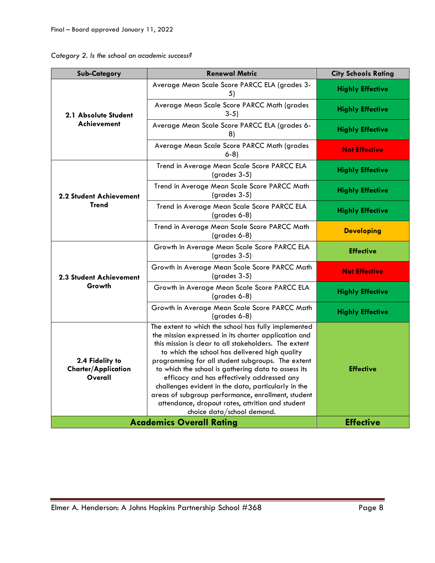| Category 2. Is the school an academic success? |  |  |  |  |  |
|------------------------------------------------|--|--|--|--|--|
|------------------------------------------------|--|--|--|--|--|

| <b>Sub-Category</b>                                      | <b>Renewal Metric</b>                                                                                                                                                                                                                                                                                                                                                                                                                                                                                                                                                            | <b>City Schools Rating</b> |
|----------------------------------------------------------|----------------------------------------------------------------------------------------------------------------------------------------------------------------------------------------------------------------------------------------------------------------------------------------------------------------------------------------------------------------------------------------------------------------------------------------------------------------------------------------------------------------------------------------------------------------------------------|----------------------------|
| 2.1 Absolute Student                                     | Average Mean Scale Score PARCC ELA (grades 3-<br>5)                                                                                                                                                                                                                                                                                                                                                                                                                                                                                                                              | <b>Highly Effective</b>    |
|                                                          | Average Mean Scale Score PARCC Math (grades<br>$3-5)$                                                                                                                                                                                                                                                                                                                                                                                                                                                                                                                            | <b>Highly Effective</b>    |
| Achievement                                              | Average Mean Scale Score PARCC ELA (grades 6-<br>8)                                                                                                                                                                                                                                                                                                                                                                                                                                                                                                                              | <b>Highly Effective</b>    |
|                                                          | Average Mean Scale Score PARCC Math (grades<br>$6-8$                                                                                                                                                                                                                                                                                                                                                                                                                                                                                                                             | <b>Not Effective</b>       |
|                                                          | Trend in Average Mean Scale Score PARCC ELA<br>$(grades 3-5)$                                                                                                                                                                                                                                                                                                                                                                                                                                                                                                                    | <b>Highly Effective</b>    |
| <b>2.2 Student Achievement</b>                           | Trend in Average Mean Scale Score PARCC Math<br>(grades 3-5)                                                                                                                                                                                                                                                                                                                                                                                                                                                                                                                     | <b>Highly Effective</b>    |
| <b>Trend</b>                                             | Trend in Average Mean Scale Score PARCC ELA<br>$(grades 6-8)$                                                                                                                                                                                                                                                                                                                                                                                                                                                                                                                    | <b>Highly Effective</b>    |
|                                                          | Trend in Average Mean Scale Score PARCC Math<br>(grades 6-8)                                                                                                                                                                                                                                                                                                                                                                                                                                                                                                                     | <b>Developing</b>          |
| <b>2.3 Student Achievement</b>                           | Growth in Average Mean Scale Score PARCC ELA<br>$(grades 3-5)$                                                                                                                                                                                                                                                                                                                                                                                                                                                                                                                   | <b>Effective</b>           |
|                                                          | Growth in Average Mean Scale Score PARCC Math<br>$(grades 3-5)$                                                                                                                                                                                                                                                                                                                                                                                                                                                                                                                  | <b>Not Effective</b>       |
| Growth                                                   | Growth in Average Mean Scale Score PARCC ELA<br>(grades 6-8)                                                                                                                                                                                                                                                                                                                                                                                                                                                                                                                     | <b>Highly Effective</b>    |
|                                                          | Growth in Average Mean Scale Score PARCC Math<br>(grades 6-8)                                                                                                                                                                                                                                                                                                                                                                                                                                                                                                                    | <b>Highly Effective</b>    |
| 2.4 Fidelity to<br><b>Charter/Application</b><br>Overall | The extent to which the school has fully implemented<br>the mission expressed in its charter application and<br>this mission is clear to all stakeholders. The extent<br>to which the school has delivered high quality<br>programming for all student subgroups. The extent<br>to which the school is gathering data to assess its<br>efficacy and has effectively addressed any<br>challenges evident in the data, particularly in the<br>areas of subgroup performance, enrollment, student<br>attendance, dropout rates, attrition and student<br>choice data/school demand. | <b>Effective</b>           |
|                                                          | <b>Academics Overall Rating</b>                                                                                                                                                                                                                                                                                                                                                                                                                                                                                                                                                  | <b>Effective</b>           |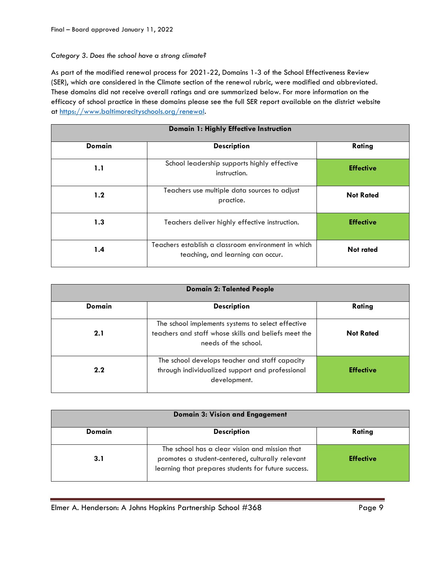#### *Category 3. Does the school have a strong climate?*

As part of the modified renewal process for 2021-22, Domains 1-3 of the School Effectiveness Review (SER), which are considered in the Climate section of the renewal rubric, were modified and abbreviated. These domains did not receive overall ratings and are summarized below. For more information on the efficacy of school practice in these domains please see the full SER report available on the district website at [https://www.baltimorecityschools.org/r](https://www.baltimorecityschools.org/)enewal.

| Domain 1: Highly Effective Instruction |                                                                                          |                  |  |
|----------------------------------------|------------------------------------------------------------------------------------------|------------------|--|
| <b>Domain</b>                          | <b>Description</b>                                                                       | Rating           |  |
| 1.1                                    | School leadership supports highly effective<br>instruction.                              | <b>Effective</b> |  |
| 1.2                                    | Teachers use multiple data sources to adjust<br>practice.                                | <b>Not Rated</b> |  |
| 1.3                                    | Teachers deliver highly effective instruction.                                           | <b>Effective</b> |  |
| 1.4                                    | Teachers establish a classroom environment in which<br>teaching, and learning can occur. | <b>Not rated</b> |  |

| <b>Domain 2: Talented People</b> |                                                                                                                                   |                  |  |
|----------------------------------|-----------------------------------------------------------------------------------------------------------------------------------|------------------|--|
| Domain                           | <b>Description</b>                                                                                                                | Rating           |  |
| 2.1                              | The school implements systems to select effective<br>teachers and staff whose skills and beliefs meet the<br>needs of the school. | <b>Not Rated</b> |  |
| 2.2                              | The school develops teacher and staff capacity<br>through individualized support and professional<br>development.                 | <b>Effective</b> |  |

| <b>Domain 3: Vision and Engagement</b> |                                                                                                                                                           |                  |  |
|----------------------------------------|-----------------------------------------------------------------------------------------------------------------------------------------------------------|------------------|--|
| Domain                                 | <b>Description</b>                                                                                                                                        | Rating           |  |
| 3.1                                    | The school has a clear vision and mission that<br>promotes a student-centered, culturally relevant<br>learning that prepares students for future success. | <b>Effective</b> |  |